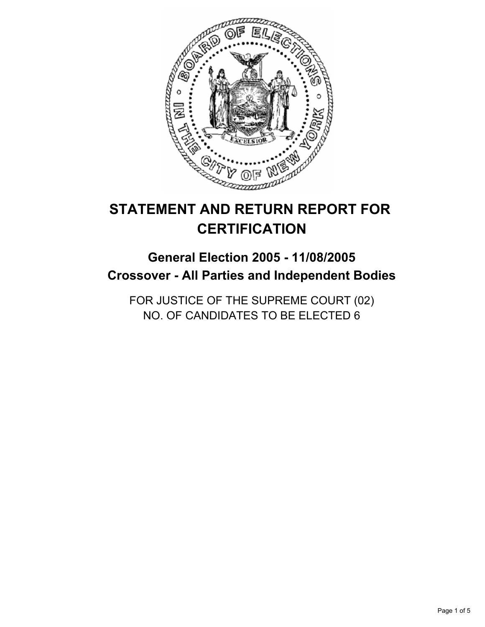

# **STATEMENT AND RETURN REPORT FOR CERTIFICATION**

## **General Election 2005 - 11/08/2005 Crossover - All Parties and Independent Bodies**

FOR JUSTICE OF THE SUPREME COURT (02) NO. OF CANDIDATES TO BE ELECTED 6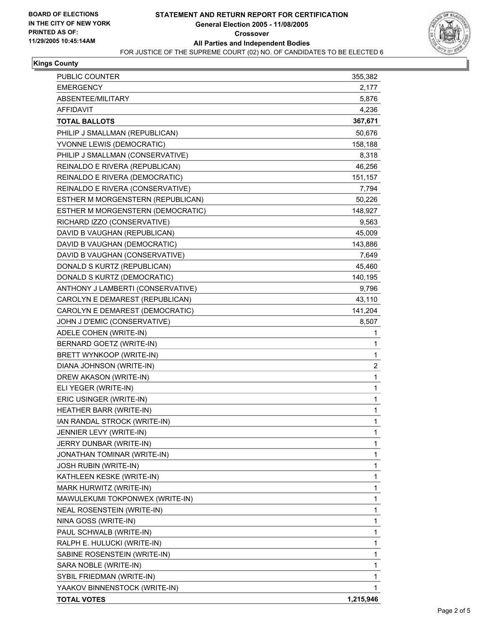

#### **Kings County**

| PUBLIC COUNTER                    | 355,382        |
|-----------------------------------|----------------|
| <b>EMERGENCY</b>                  | 2,177          |
| ABSENTEE/MILITARY                 | 5,876          |
| <b>AFFIDAVIT</b>                  | 4,236          |
| <b>TOTAL BALLOTS</b>              | 367,671        |
| PHILIP J SMALLMAN (REPUBLICAN)    | 50,676         |
| YVONNE LEWIS (DEMOCRATIC)         | 158,188        |
| PHILIP J SMALLMAN (CONSERVATIVE)  | 8,318          |
| REINALDO E RIVERA (REPUBLICAN)    | 46,256         |
| REINALDO E RIVERA (DEMOCRATIC)    | 151,157        |
| REINALDO E RIVERA (CONSERVATIVE)  | 7,794          |
| ESTHER M MORGENSTERN (REPUBLICAN) | 50,226         |
| ESTHER M MORGENSTERN (DEMOCRATIC) | 148,927        |
| RICHARD IZZO (CONSERVATIVE)       | 9,563          |
| DAVID B VAUGHAN (REPUBLICAN)      | 45,009         |
| DAVID B VAUGHAN (DEMOCRATIC)      | 143,886        |
| DAVID B VAUGHAN (CONSERVATIVE)    | 7,649          |
| DONALD S KURTZ (REPUBLICAN)       | 45,460         |
| DONALD S KURTZ (DEMOCRATIC)       | 140,195        |
| ANTHONY J LAMBERTI (CONSERVATIVE) | 9,796          |
| CAROLYN E DEMAREST (REPUBLICAN)   | 43,110         |
| CAROLYN E DEMAREST (DEMOCRATIC)   | 141,204        |
| JOHN J D'EMIC (CONSERVATIVE)      | 8,507          |
| ADELE COHEN (WRITE-IN)            | 1              |
| BERNARD GOETZ (WRITE-IN)          | 1              |
| BRETT WYNKOOP (WRITE-IN)          | 1              |
| DIANA JOHNSON (WRITE-IN)          | $\overline{c}$ |
| DREW AKASON (WRITE-IN)            | 1              |
| ELI YEGER (WRITE-IN)              | 1              |
| ERIC USINGER (WRITE-IN)           | 1              |
| HEATHER BARR (WRITE-IN)           | 1              |
| IAN RANDAL STROCK (WRITE-IN)      | 1              |
| JENNIER LEVY (WRITE-IN)           | 1              |
| JERRY DUNBAR (WRITE-IN)           | 1              |
| JONATHAN TOMINAR (WRITE-IN)       | 1              |
| <b>JOSH RUBIN (WRITE-IN)</b>      | 1              |
| KATHLEEN KESKE (WRITE-IN)         | 1              |
| MARK HURWITZ (WRITE-IN)           | 1              |
| MAWULEKUMI TOKPONWEX (WRITE-IN)   | 1              |
| NEAL ROSENSTEIN (WRITE-IN)        | 1              |
| NINA GOSS (WRITE-IN)              | 1              |
| PAUL SCHWALB (WRITE-IN)           | 1              |
| RALPH E. HULUCKI (WRITE-IN)       | 1              |
| SABINE ROSENSTEIN (WRITE-IN)      | 1              |
| SARA NOBLE (WRITE-IN)             | 1              |
| SYBIL FRIEDMAN (WRITE-IN)         | 1              |
| YAAKOV BINNENSTOCK (WRITE-IN)     | 1              |
| <b>TOTAL VOTES</b>                | 1,215,946      |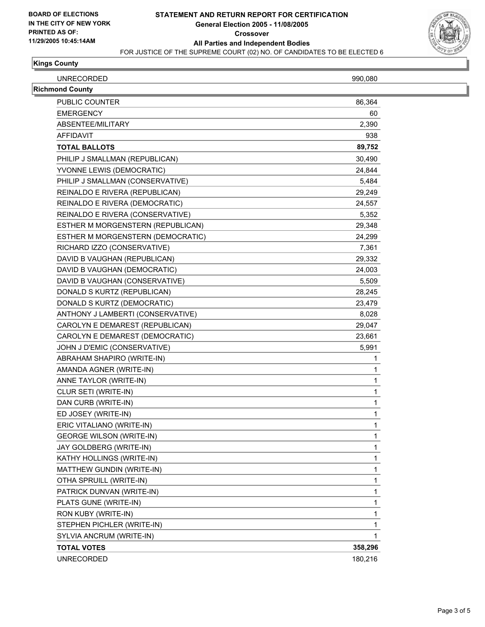

#### **Kings County**

| <b>UNRECORDED</b>      | 990,080 |
|------------------------|---------|
| <b>Richmond County</b> |         |
| <b>PUBLIC COUNTER</b>  | 86,364  |
| <b>EMERGENCY</b>       | 60      |
| ABSENTEE/MILITARY      | 2,390   |
| AFFIDAVIT              | 938     |

| AFFIDAVII                         | ษงช     |
|-----------------------------------|---------|
| <b>TOTAL BALLOTS</b>              | 89,752  |
| PHILIP J SMALLMAN (REPUBLICAN)    | 30,490  |
| YVONNE LEWIS (DEMOCRATIC)         | 24,844  |
| PHILIP J SMALLMAN (CONSERVATIVE)  | 5,484   |
| REINALDO E RIVERA (REPUBLICAN)    | 29,249  |
| REINALDO E RIVERA (DEMOCRATIC)    | 24,557  |
| REINALDO E RIVERA (CONSERVATIVE)  | 5,352   |
| ESTHER M MORGENSTERN (REPUBLICAN) | 29,348  |
| ESTHER M MORGENSTERN (DEMOCRATIC) | 24,299  |
| RICHARD IZZO (CONSERVATIVE)       | 7,361   |
| DAVID B VAUGHAN (REPUBLICAN)      | 29,332  |
| DAVID B VAUGHAN (DEMOCRATIC)      | 24,003  |
| DAVID B VAUGHAN (CONSERVATIVE)    | 5,509   |
| DONALD S KURTZ (REPUBLICAN)       | 28,245  |
| DONALD S KURTZ (DEMOCRATIC)       | 23,479  |
| ANTHONY J LAMBERTI (CONSERVATIVE) | 8,028   |
| CAROLYN E DEMAREST (REPUBLICAN)   | 29,047  |
| CAROLYN E DEMAREST (DEMOCRATIC)   | 23,661  |
| JOHN J D'EMIC (CONSERVATIVE)      | 5,991   |
| ABRAHAM SHAPIRO (WRITE-IN)        | 1       |
| AMANDA AGNER (WRITE-IN)           | 1       |
| ANNE TAYLOR (WRITE-IN)            | 1       |
| CLUR SETI (WRITE-IN)              | 1       |
| DAN CURB (WRITE-IN)               | 1       |
| ED JOSEY (WRITE-IN)               | 1       |
| ERIC VITALIANO (WRITE-IN)         | 1       |
| <b>GEORGE WILSON (WRITE-IN)</b>   | 1       |
| JAY GOLDBERG (WRITE-IN)           | 1       |
| KATHY HOLLINGS (WRITE-IN)         | 1       |
| MATTHEW GUNDIN (WRITE-IN)         | 1       |
| OTHA SPRUILL (WRITE-IN)           | 1       |
| PATRICK DUNVAN (WRITE-IN)         |         |
| PLATS GUNE (WRITE-IN)             | 1       |
| RON KUBY (WRITE-IN)               | 1       |
| STEPHEN PICHLER (WRITE-IN)        | 1       |
| SYLVIA ANCRUM (WRITE-IN)          | 1       |
| <b>TOTAL VOTES</b>                | 358,296 |
| <b>UNRECORDED</b>                 | 180,216 |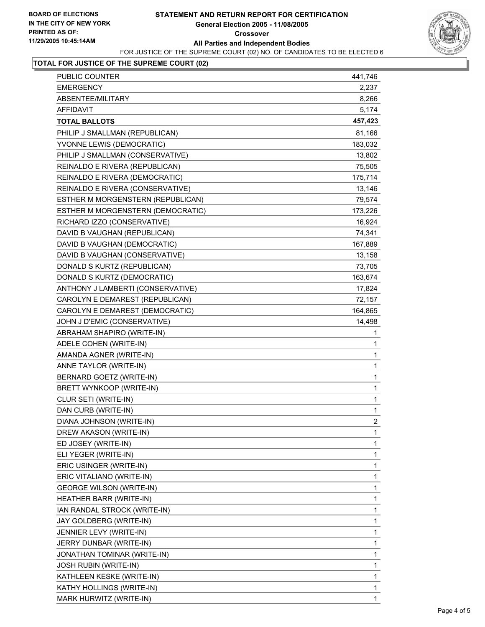

## **TOTAL FOR JUSTICE OF THE SUPREME COURT (02)**

| PUBLIC COUNTER                    | 441,746        |
|-----------------------------------|----------------|
| <b>EMERGENCY</b>                  | 2,237          |
| ABSENTEE/MILITARY                 | 8,266          |
| <b>AFFIDAVIT</b>                  | 5,174          |
| <b>TOTAL BALLOTS</b>              | 457,423        |
| PHILIP J SMALLMAN (REPUBLICAN)    | 81,166         |
| YVONNE LEWIS (DEMOCRATIC)         | 183,032        |
| PHILIP J SMALLMAN (CONSERVATIVE)  | 13,802         |
| REINALDO E RIVERA (REPUBLICAN)    | 75,505         |
| REINALDO E RIVERA (DEMOCRATIC)    | 175,714        |
| REINALDO E RIVERA (CONSERVATIVE)  | 13,146         |
| ESTHER M MORGENSTERN (REPUBLICAN) | 79,574         |
| ESTHER M MORGENSTERN (DEMOCRATIC) | 173,226        |
| RICHARD IZZO (CONSERVATIVE)       | 16,924         |
| DAVID B VAUGHAN (REPUBLICAN)      | 74,341         |
| DAVID B VAUGHAN (DEMOCRATIC)      | 167,889        |
| DAVID B VAUGHAN (CONSERVATIVE)    | 13,158         |
| DONALD S KURTZ (REPUBLICAN)       | 73,705         |
| DONALD S KURTZ (DEMOCRATIC)       | 163,674        |
| ANTHONY J LAMBERTI (CONSERVATIVE) | 17,824         |
| CAROLYN E DEMAREST (REPUBLICAN)   | 72,157         |
| CAROLYN E DEMAREST (DEMOCRATIC)   | 164,865        |
| JOHN J D'EMIC (CONSERVATIVE)      | 14,498         |
| ABRAHAM SHAPIRO (WRITE-IN)        | 1              |
| ADELE COHEN (WRITE-IN)            | 1              |
| AMANDA AGNER (WRITE-IN)           | $\mathbf 1$    |
| ANNE TAYLOR (WRITE-IN)            | 1              |
| BERNARD GOETZ (WRITE-IN)          | $\mathbf 1$    |
| BRETT WYNKOOP (WRITE-IN)          | $\mathbf 1$    |
| CLUR SETI (WRITE-IN)              | $\mathbf 1$    |
| DAN CURB (WRITE-IN)               | 1              |
| DIANA JOHNSON (WRITE-IN)          | $\overline{2}$ |
| DREW AKASON (WRITE-IN)            | 1              |
| ED JOSEY (WRITE-IN)               | 1              |
| ELI YEGER (WRITE-IN)              | 1              |
| ERIC USINGER (WRITE-IN)           | 1              |
| ERIC VITALIANO (WRITE-IN)         | 1              |
| <b>GEORGE WILSON (WRITE-IN)</b>   | 1              |
| HEATHER BARR (WRITE-IN)           | 1              |
| IAN RANDAL STROCK (WRITE-IN)      | 1              |
| JAY GOLDBERG (WRITE-IN)           | 1              |
| JENNIER LEVY (WRITE-IN)           | 1              |
| JERRY DUNBAR (WRITE-IN)           | 1              |
| JONATHAN TOMINAR (WRITE-IN)       | 1              |
| <b>JOSH RUBIN (WRITE-IN)</b>      | 1              |
| KATHLEEN KESKE (WRITE-IN)         | 1              |
| KATHY HOLLINGS (WRITE-IN)         | 1              |
| MARK HURWITZ (WRITE-IN)           | 1              |